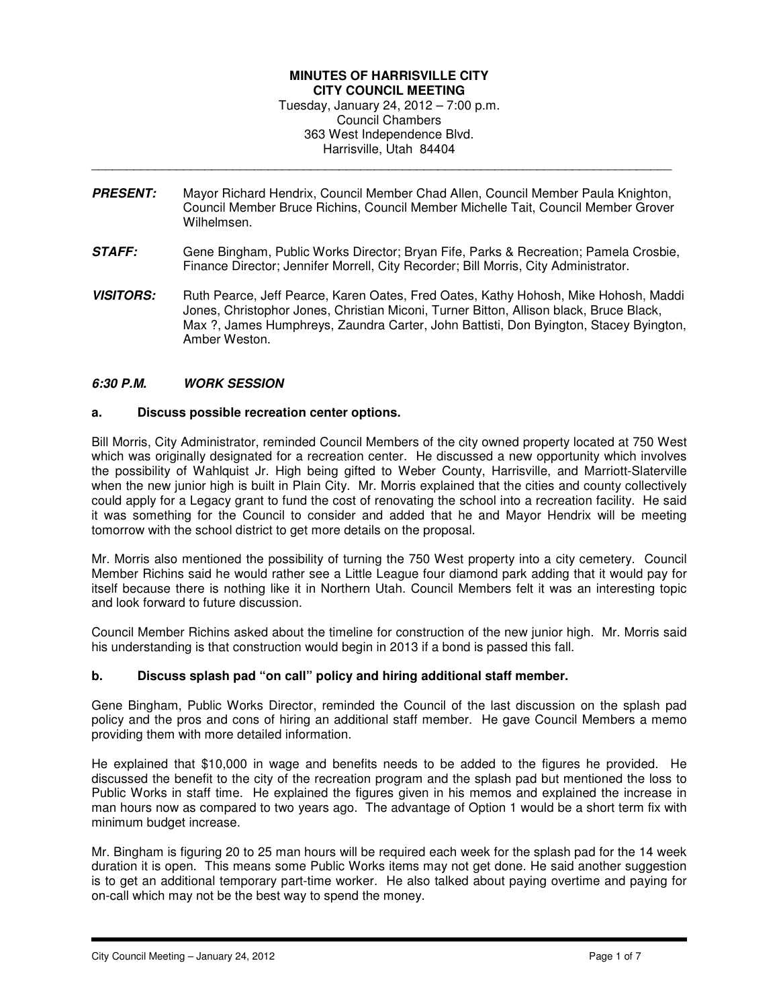### **MINUTES OF HARRISVILLE CITY CITY COUNCIL MEETING**  Tuesday, January 24, 2012 – 7:00 p.m. Council Chambers 363 West Independence Blvd. Harrisville, Utah 84404

**PRESENT:** Mayor Richard Hendrix, Council Member Chad Allen, Council Member Paula Knighton, Council Member Bruce Richins, Council Member Michelle Tait, Council Member Grover Wilhelmsen.

\_\_\_\_\_\_\_\_\_\_\_\_\_\_\_\_\_\_\_\_\_\_\_\_\_\_\_\_\_\_\_\_\_\_\_\_\_\_\_\_\_\_\_\_\_\_\_\_\_\_\_\_\_\_\_\_\_\_\_\_\_\_\_\_\_\_\_\_\_\_\_\_\_\_\_\_\_\_\_\_\_\_

- **STAFF:** Gene Bingham, Public Works Director; Bryan Fife, Parks & Recreation; Pamela Crosbie, Finance Director; Jennifer Morrell, City Recorder; Bill Morris, City Administrator.
- **VISITORS:** Ruth Pearce, Jeff Pearce, Karen Oates, Fred Oates, Kathy Hohosh, Mike Hohosh, Maddi Jones, Christophor Jones, Christian Miconi, Turner Bitton, Allison black, Bruce Black, Max ?, James Humphreys, Zaundra Carter, John Battisti, Don Byington, Stacey Byington, Amber Weston.

### **6:30 P.M. WORK SESSION**

#### **a. Discuss possible recreation center options.**

Bill Morris, City Administrator, reminded Council Members of the city owned property located at 750 West which was originally designated for a recreation center. He discussed a new opportunity which involves the possibility of Wahlquist Jr. High being gifted to Weber County, Harrisville, and Marriott-Slaterville when the new junior high is built in Plain City. Mr. Morris explained that the cities and county collectively could apply for a Legacy grant to fund the cost of renovating the school into a recreation facility. He said it was something for the Council to consider and added that he and Mayor Hendrix will be meeting tomorrow with the school district to get more details on the proposal.

Mr. Morris also mentioned the possibility of turning the 750 West property into a city cemetery. Council Member Richins said he would rather see a Little League four diamond park adding that it would pay for itself because there is nothing like it in Northern Utah. Council Members felt it was an interesting topic and look forward to future discussion.

Council Member Richins asked about the timeline for construction of the new junior high. Mr. Morris said his understanding is that construction would begin in 2013 if a bond is passed this fall.

#### **b. Discuss splash pad "on call" policy and hiring additional staff member.**

Gene Bingham, Public Works Director, reminded the Council of the last discussion on the splash pad policy and the pros and cons of hiring an additional staff member. He gave Council Members a memo providing them with more detailed information.

He explained that \$10,000 in wage and benefits needs to be added to the figures he provided. He discussed the benefit to the city of the recreation program and the splash pad but mentioned the loss to Public Works in staff time. He explained the figures given in his memos and explained the increase in man hours now as compared to two years ago. The advantage of Option 1 would be a short term fix with minimum budget increase.

Mr. Bingham is figuring 20 to 25 man hours will be required each week for the splash pad for the 14 week duration it is open. This means some Public Works items may not get done. He said another suggestion is to get an additional temporary part-time worker. He also talked about paying overtime and paying for on-call which may not be the best way to spend the money.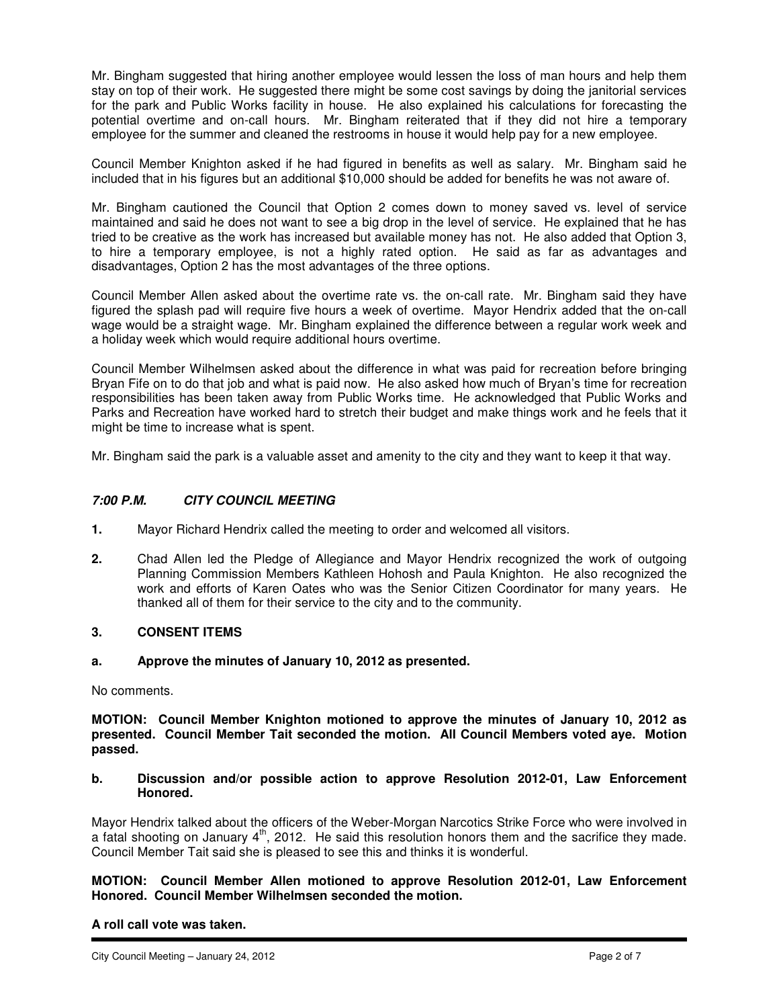Mr. Bingham suggested that hiring another employee would lessen the loss of man hours and help them stay on top of their work. He suggested there might be some cost savings by doing the janitorial services for the park and Public Works facility in house. He also explained his calculations for forecasting the potential overtime and on-call hours. Mr. Bingham reiterated that if they did not hire a temporary employee for the summer and cleaned the restrooms in house it would help pay for a new employee.

Council Member Knighton asked if he had figured in benefits as well as salary. Mr. Bingham said he included that in his figures but an additional \$10,000 should be added for benefits he was not aware of.

Mr. Bingham cautioned the Council that Option 2 comes down to money saved vs. level of service maintained and said he does not want to see a big drop in the level of service. He explained that he has tried to be creative as the work has increased but available money has not. He also added that Option 3, to hire a temporary employee, is not a highly rated option. He said as far as advantages and disadvantages, Option 2 has the most advantages of the three options.

Council Member Allen asked about the overtime rate vs. the on-call rate. Mr. Bingham said they have figured the splash pad will require five hours a week of overtime. Mayor Hendrix added that the on-call wage would be a straight wage. Mr. Bingham explained the difference between a regular work week and a holiday week which would require additional hours overtime.

Council Member Wilhelmsen asked about the difference in what was paid for recreation before bringing Bryan Fife on to do that job and what is paid now. He also asked how much of Bryan's time for recreation responsibilities has been taken away from Public Works time. He acknowledged that Public Works and Parks and Recreation have worked hard to stretch their budget and make things work and he feels that it might be time to increase what is spent.

Mr. Bingham said the park is a valuable asset and amenity to the city and they want to keep it that way.

## **7:00 P.M. CITY COUNCIL MEETING**

- **1.** Mayor Richard Hendrix called the meeting to order and welcomed all visitors.
- **2.** Chad Allen led the Pledge of Allegiance and Mayor Hendrix recognized the work of outgoing Planning Commission Members Kathleen Hohosh and Paula Knighton. He also recognized the work and efforts of Karen Oates who was the Senior Citizen Coordinator for many years. He thanked all of them for their service to the city and to the community.

## **3. CONSENT ITEMS**

#### **a. Approve the minutes of January 10, 2012 as presented.**

No comments.

**MOTION: Council Member Knighton motioned to approve the minutes of January 10, 2012 as presented. Council Member Tait seconded the motion. All Council Members voted aye. Motion passed.** 

#### **b. Discussion and/or possible action to approve Resolution 2012-01, Law Enforcement Honored.**

Mayor Hendrix talked about the officers of the Weber-Morgan Narcotics Strike Force who were involved in a fatal shooting on January 4th, 2012. He said this resolution honors them and the sacrifice they made. Council Member Tait said she is pleased to see this and thinks it is wonderful.

**MOTION: Council Member Allen motioned to approve Resolution 2012-01, Law Enforcement Honored. Council Member Wilhelmsen seconded the motion.** 

### **A roll call vote was taken.**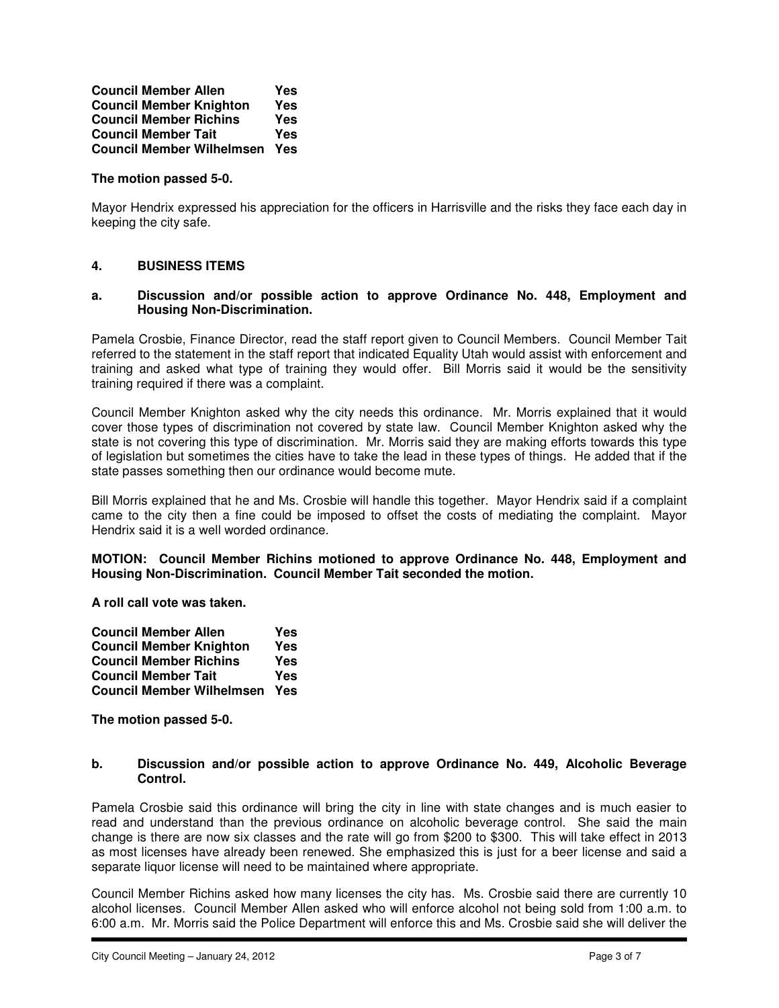**Council Member Allen Yes Council Member Knighton Yes Council Member Richins Yes Council Member Tait Council Member Wilhelmsen Yes** 

### **The motion passed 5-0.**

Mayor Hendrix expressed his appreciation for the officers in Harrisville and the risks they face each day in keeping the city safe.

# **4. BUSINESS ITEMS**

#### **a. Discussion and/or possible action to approve Ordinance No. 448, Employment and Housing Non-Discrimination.**

Pamela Crosbie, Finance Director, read the staff report given to Council Members. Council Member Tait referred to the statement in the staff report that indicated Equality Utah would assist with enforcement and training and asked what type of training they would offer. Bill Morris said it would be the sensitivity training required if there was a complaint.

Council Member Knighton asked why the city needs this ordinance. Mr. Morris explained that it would cover those types of discrimination not covered by state law. Council Member Knighton asked why the state is not covering this type of discrimination. Mr. Morris said they are making efforts towards this type of legislation but sometimes the cities have to take the lead in these types of things. He added that if the state passes something then our ordinance would become mute.

Bill Morris explained that he and Ms. Crosbie will handle this together. Mayor Hendrix said if a complaint came to the city then a fine could be imposed to offset the costs of mediating the complaint. Mayor Hendrix said it is a well worded ordinance.

#### **MOTION: Council Member Richins motioned to approve Ordinance No. 448, Employment and Housing Non-Discrimination. Council Member Tait seconded the motion.**

**A roll call vote was taken.** 

| <b>Council Member Allen</b>      | Yes        |
|----------------------------------|------------|
| <b>Council Member Knighton</b>   | <b>Yes</b> |
| <b>Council Member Richins</b>    | Yes        |
| <b>Council Member Tait</b>       | Yes        |
| <b>Council Member Wilhelmsen</b> | Yes        |

**The motion passed 5-0.** 

#### **b. Discussion and/or possible action to approve Ordinance No. 449, Alcoholic Beverage Control.**

Pamela Crosbie said this ordinance will bring the city in line with state changes and is much easier to read and understand than the previous ordinance on alcoholic beverage control. She said the main change is there are now six classes and the rate will go from \$200 to \$300. This will take effect in 2013 as most licenses have already been renewed. She emphasized this is just for a beer license and said a separate liquor license will need to be maintained where appropriate.

Council Member Richins asked how many licenses the city has. Ms. Crosbie said there are currently 10 alcohol licenses. Council Member Allen asked who will enforce alcohol not being sold from 1:00 a.m. to 6:00 a.m. Mr. Morris said the Police Department will enforce this and Ms. Crosbie said she will deliver the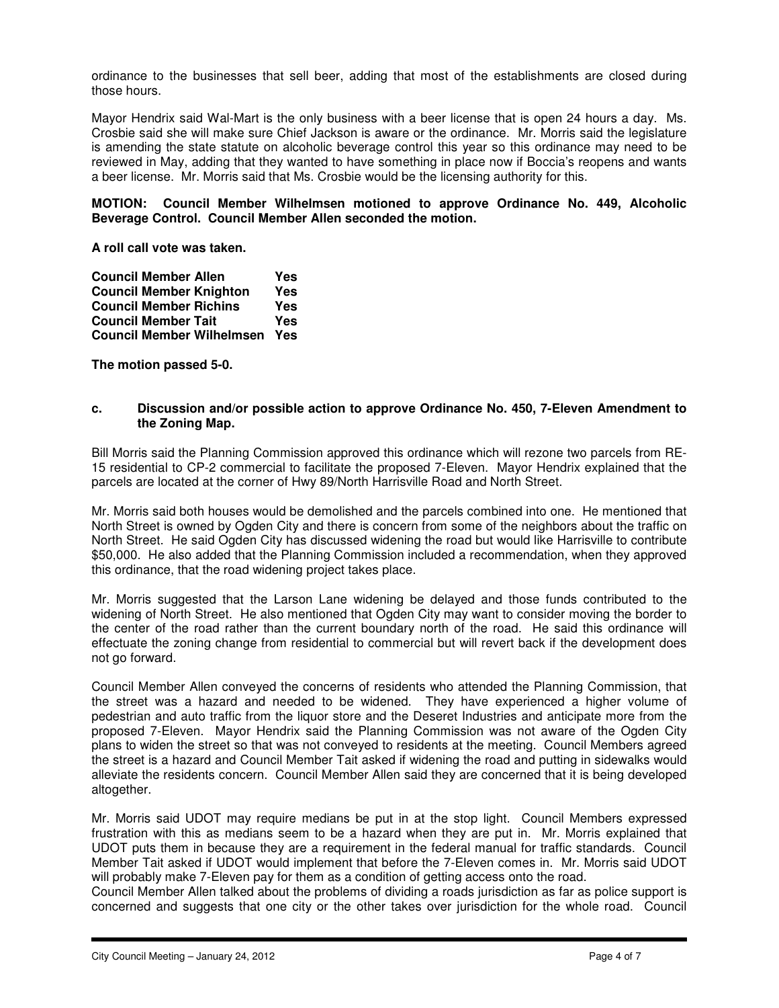ordinance to the businesses that sell beer, adding that most of the establishments are closed during those hours.

Mayor Hendrix said Wal-Mart is the only business with a beer license that is open 24 hours a day. Ms. Crosbie said she will make sure Chief Jackson is aware or the ordinance. Mr. Morris said the legislature is amending the state statute on alcoholic beverage control this year so this ordinance may need to be reviewed in May, adding that they wanted to have something in place now if Boccia's reopens and wants a beer license. Mr. Morris said that Ms. Crosbie would be the licensing authority for this.

### **MOTION: Council Member Wilhelmsen motioned to approve Ordinance No. 449, Alcoholic Beverage Control. Council Member Allen seconded the motion.**

**A roll call vote was taken.** 

| <b>Council Member Allen</b>      | Yes        |
|----------------------------------|------------|
| <b>Council Member Knighton</b>   | <b>Yes</b> |
| <b>Council Member Richins</b>    | Yes        |
| <b>Council Member Tait</b>       | Yes        |
| <b>Council Member Wilhelmsen</b> | Yes        |

**The motion passed 5-0.** 

#### **c. Discussion and/or possible action to approve Ordinance No. 450, 7-Eleven Amendment to the Zoning Map.**

Bill Morris said the Planning Commission approved this ordinance which will rezone two parcels from RE-15 residential to CP-2 commercial to facilitate the proposed 7-Eleven. Mayor Hendrix explained that the parcels are located at the corner of Hwy 89/North Harrisville Road and North Street.

Mr. Morris said both houses would be demolished and the parcels combined into one. He mentioned that North Street is owned by Ogden City and there is concern from some of the neighbors about the traffic on North Street. He said Ogden City has discussed widening the road but would like Harrisville to contribute \$50,000. He also added that the Planning Commission included a recommendation, when they approved this ordinance, that the road widening project takes place.

Mr. Morris suggested that the Larson Lane widening be delayed and those funds contributed to the widening of North Street. He also mentioned that Ogden City may want to consider moving the border to the center of the road rather than the current boundary north of the road. He said this ordinance will effectuate the zoning change from residential to commercial but will revert back if the development does not go forward.

Council Member Allen conveyed the concerns of residents who attended the Planning Commission, that the street was a hazard and needed to be widened. They have experienced a higher volume of pedestrian and auto traffic from the liquor store and the Deseret Industries and anticipate more from the proposed 7-Eleven. Mayor Hendrix said the Planning Commission was not aware of the Ogden City plans to widen the street so that was not conveyed to residents at the meeting. Council Members agreed the street is a hazard and Council Member Tait asked if widening the road and putting in sidewalks would alleviate the residents concern. Council Member Allen said they are concerned that it is being developed altogether.

Mr. Morris said UDOT may require medians be put in at the stop light. Council Members expressed frustration with this as medians seem to be a hazard when they are put in. Mr. Morris explained that UDOT puts them in because they are a requirement in the federal manual for traffic standards. Council Member Tait asked if UDOT would implement that before the 7-Eleven comes in. Mr. Morris said UDOT will probably make 7-Eleven pay for them as a condition of getting access onto the road.

Council Member Allen talked about the problems of dividing a roads jurisdiction as far as police support is concerned and suggests that one city or the other takes over jurisdiction for the whole road. Council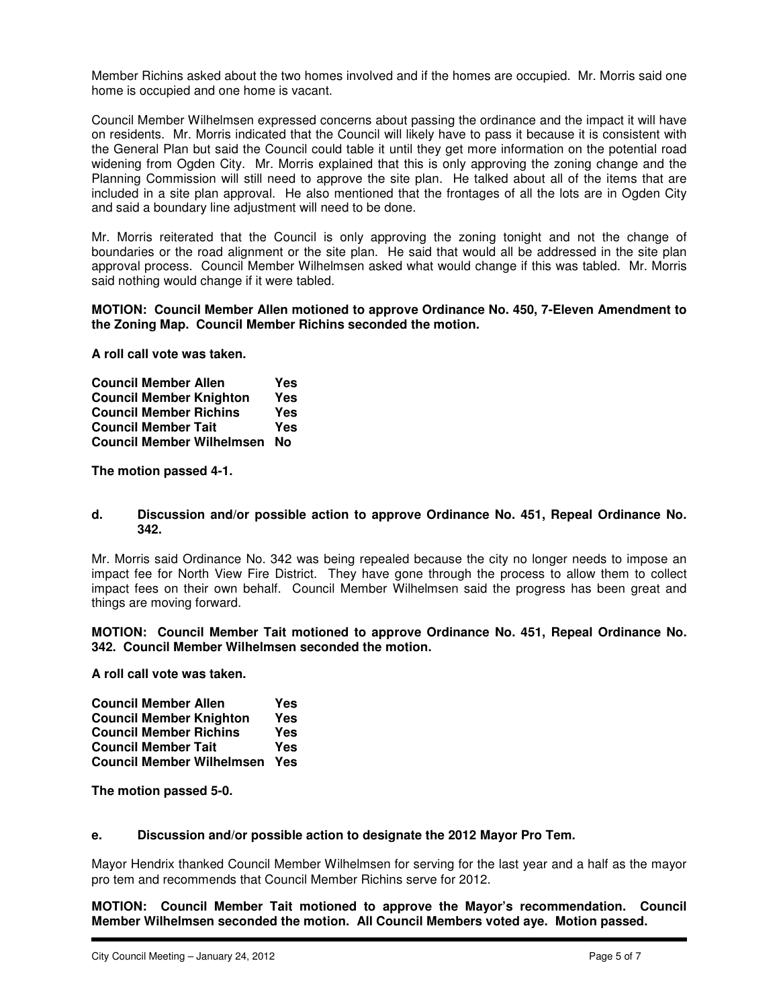Member Richins asked about the two homes involved and if the homes are occupied. Mr. Morris said one home is occupied and one home is vacant.

Council Member Wilhelmsen expressed concerns about passing the ordinance and the impact it will have on residents. Mr. Morris indicated that the Council will likely have to pass it because it is consistent with the General Plan but said the Council could table it until they get more information on the potential road widening from Ogden City. Mr. Morris explained that this is only approving the zoning change and the Planning Commission will still need to approve the site plan. He talked about all of the items that are included in a site plan approval. He also mentioned that the frontages of all the lots are in Ogden City and said a boundary line adjustment will need to be done.

Mr. Morris reiterated that the Council is only approving the zoning tonight and not the change of boundaries or the road alignment or the site plan. He said that would all be addressed in the site plan approval process. Council Member Wilhelmsen asked what would change if this was tabled. Mr. Morris said nothing would change if it were tabled.

#### **MOTION: Council Member Allen motioned to approve Ordinance No. 450, 7-Eleven Amendment to the Zoning Map. Council Member Richins seconded the motion.**

**A roll call vote was taken.** 

| <b>Council Member Allen</b>      | Yes |
|----------------------------------|-----|
| <b>Council Member Knighton</b>   | Yes |
| <b>Council Member Richins</b>    | Yes |
| <b>Council Member Tait</b>       | Yes |
| <b>Council Member Wilhelmsen</b> | No  |

**The motion passed 4-1.** 

#### **d. Discussion and/or possible action to approve Ordinance No. 451, Repeal Ordinance No. 342.**

Mr. Morris said Ordinance No. 342 was being repealed because the city no longer needs to impose an impact fee for North View Fire District. They have gone through the process to allow them to collect impact fees on their own behalf. Council Member Wilhelmsen said the progress has been great and things are moving forward.

**MOTION: Council Member Tait motioned to approve Ordinance No. 451, Repeal Ordinance No. 342. Council Member Wilhelmsen seconded the motion.** 

**A roll call vote was taken.** 

| <b>Council Member Allen</b>      | Yes |
|----------------------------------|-----|
| <b>Council Member Knighton</b>   | Yes |
| <b>Council Member Richins</b>    | Yes |
| <b>Council Member Tait</b>       | Yes |
| <b>Council Member Wilhelmsen</b> | Yes |

**The motion passed 5-0.** 

### **e. Discussion and/or possible action to designate the 2012 Mayor Pro Tem.**

Mayor Hendrix thanked Council Member Wilhelmsen for serving for the last year and a half as the mayor pro tem and recommends that Council Member Richins serve for 2012.

**MOTION: Council Member Tait motioned to approve the Mayor's recommendation. Council Member Wilhelmsen seconded the motion. All Council Members voted aye. Motion passed.**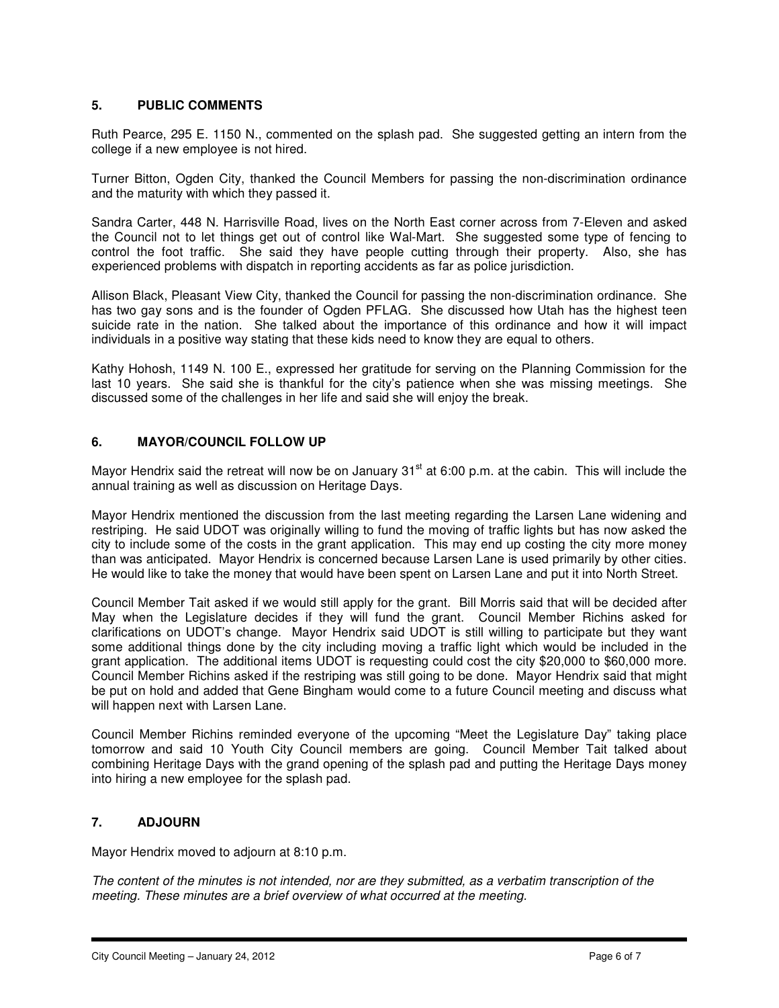## **5. PUBLIC COMMENTS**

Ruth Pearce, 295 E. 1150 N., commented on the splash pad. She suggested getting an intern from the college if a new employee is not hired.

Turner Bitton, Ogden City, thanked the Council Members for passing the non-discrimination ordinance and the maturity with which they passed it.

Sandra Carter, 448 N. Harrisville Road, lives on the North East corner across from 7-Eleven and asked the Council not to let things get out of control like Wal-Mart. She suggested some type of fencing to control the foot traffic. She said they have people cutting through their property. Also, she has experienced problems with dispatch in reporting accidents as far as police jurisdiction.

Allison Black, Pleasant View City, thanked the Council for passing the non-discrimination ordinance. She has two gay sons and is the founder of Ogden PFLAG. She discussed how Utah has the highest teen suicide rate in the nation. She talked about the importance of this ordinance and how it will impact individuals in a positive way stating that these kids need to know they are equal to others.

Kathy Hohosh, 1149 N. 100 E., expressed her gratitude for serving on the Planning Commission for the last 10 years. She said she is thankful for the city's patience when she was missing meetings. She discussed some of the challenges in her life and said she will enjoy the break.

## **6. MAYOR/COUNCIL FOLLOW UP**

Mayor Hendrix said the retreat will now be on January 31<sup>st</sup> at 6:00 p.m. at the cabin. This will include the annual training as well as discussion on Heritage Days.

Mayor Hendrix mentioned the discussion from the last meeting regarding the Larsen Lane widening and restriping. He said UDOT was originally willing to fund the moving of traffic lights but has now asked the city to include some of the costs in the grant application. This may end up costing the city more money than was anticipated. Mayor Hendrix is concerned because Larsen Lane is used primarily by other cities. He would like to take the money that would have been spent on Larsen Lane and put it into North Street.

Council Member Tait asked if we would still apply for the grant. Bill Morris said that will be decided after May when the Legislature decides if they will fund the grant. Council Member Richins asked for clarifications on UDOT's change. Mayor Hendrix said UDOT is still willing to participate but they want some additional things done by the city including moving a traffic light which would be included in the grant application. The additional items UDOT is requesting could cost the city \$20,000 to \$60,000 more. Council Member Richins asked if the restriping was still going to be done. Mayor Hendrix said that might be put on hold and added that Gene Bingham would come to a future Council meeting and discuss what will happen next with Larsen Lane.

Council Member Richins reminded everyone of the upcoming "Meet the Legislature Day" taking place tomorrow and said 10 Youth City Council members are going. Council Member Tait talked about combining Heritage Days with the grand opening of the splash pad and putting the Heritage Days money into hiring a new employee for the splash pad.

## **7. ADJOURN**

Mayor Hendrix moved to adjourn at 8:10 p.m.

The content of the minutes is not intended, nor are they submitted, as a verbatim transcription of the meeting. These minutes are a brief overview of what occurred at the meeting.